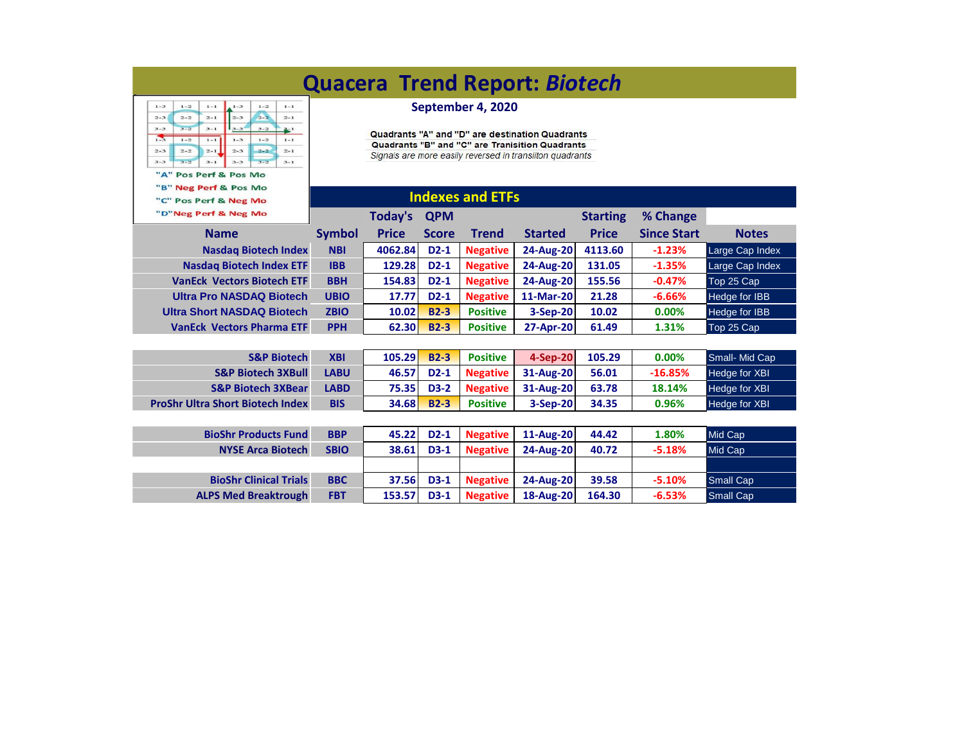| <b>Quacera Trend Report: Biotech</b>                                                                                                                                                                                                                                                                                                                                                                |                                                                                                                                                                                     |              |              |                 |                  |                 |                    |                      |  |  |
|-----------------------------------------------------------------------------------------------------------------------------------------------------------------------------------------------------------------------------------------------------------------------------------------------------------------------------------------------------------------------------------------------------|-------------------------------------------------------------------------------------------------------------------------------------------------------------------------------------|--------------|--------------|-----------------|------------------|-----------------|--------------------|----------------------|--|--|
| $1 - 3$<br>$1 - 2$<br>$1 - 2$<br>$1 - 1$<br>$1 - 3$<br>$1 - 1$<br>$2 - 2$<br>$2 - 2$<br>$2 - 1$<br>$2 - 3$<br>$2 - 3$<br>$2 - 1$<br>$3 - 3$<br>$3 - 1$<br>$3 - 2$<br>$3 - 3$<br>$3 - 2$<br>$3 - 1$<br>75<br>$1 - 2$<br>$1 - 1$<br>$1 - 3$<br>$1 - 2$<br>$1 - 1$<br>$2 - 2$<br>$2 - 1$<br>$2 - 2$<br>$2 - 3$<br>$2 - 3$<br>$2 - 1$<br>$3 - 2$<br>$3 - 3$<br>$3 - 2$<br>$3 - 1$<br>$3 - 3$<br>$3 - 1$ | September 4, 2020<br>Quadrants "A" and "D" are destination Quadrants<br>Quadrants "B" and "C" are Tranisition Quadrants<br>Signals are more easily reversed in transiiton quadrants |              |              |                 |                  |                 |                    |                      |  |  |
| "A" Pos Perf & Pos Mo<br>"B" Neg Perf & Pos Mo<br>"C" Pos Perf & Neg Mo                                                                                                                                                                                                                                                                                                                             | <b>Indexes and ETFs</b>                                                                                                                                                             |              |              |                 |                  |                 |                    |                      |  |  |
| "D"Neg Perf & Neg Mo                                                                                                                                                                                                                                                                                                                                                                                |                                                                                                                                                                                     | Today's      | <b>QPM</b>   |                 |                  | <b>Starting</b> | % Change           |                      |  |  |
| <b>Name</b>                                                                                                                                                                                                                                                                                                                                                                                         | <b>Symbol</b>                                                                                                                                                                       | <b>Price</b> | <b>Score</b> | <b>Trend</b>    | <b>Started</b>   | <b>Price</b>    | <b>Since Start</b> | <b>Notes</b>         |  |  |
| <b>Nasdag Biotech Index</b>                                                                                                                                                                                                                                                                                                                                                                         | <b>NBI</b>                                                                                                                                                                          | 4062.84      | $D2-1$       | <b>Negative</b> | <b>24-Aug-20</b> | 4113.60         | $-1.23%$           | Large Cap Index      |  |  |
| <b>Nasdag Biotech Index ETF</b>                                                                                                                                                                                                                                                                                                                                                                     | <b>IBB</b>                                                                                                                                                                          | 129.28       | $D2-1$       | <b>Negative</b> | 24-Aug-20        | 131.05          | $-1.35%$           | Large Cap Index      |  |  |
| <b>VanEck Vectors Biotech ETF</b>                                                                                                                                                                                                                                                                                                                                                                   | <b>BBH</b>                                                                                                                                                                          | 154.83       | $D2-1$       | <b>Negative</b> | 24-Aug-20        | 155.56          | $-0.47%$           | Top 25 Cap           |  |  |
| <b>Ultra Pro NASDAQ Biotech</b>                                                                                                                                                                                                                                                                                                                                                                     | <b>UBIO</b>                                                                                                                                                                         | 17.77        | $D2-1$       | <b>Negative</b> | 11-Mar-20        | 21.28           | $-6.66%$           | Hedge for IBB        |  |  |
| <b>Ultra Short NASDAQ Biotech</b>                                                                                                                                                                                                                                                                                                                                                                   | <b>ZBIO</b>                                                                                                                                                                         | 10.02        | $B2-3$       | <b>Positive</b> | 3-Sep-20         | 10.02           | 0.00%              | Hedge for IBB        |  |  |
| <b>VanEck Vectors Pharma ETF</b>                                                                                                                                                                                                                                                                                                                                                                    | <b>PPH</b>                                                                                                                                                                          | 62.30        | $B2-3$       | <b>Positive</b> | 27-Apr-20        | 61.49           | 1.31%              | Top 25 Cap           |  |  |
|                                                                                                                                                                                                                                                                                                                                                                                                     |                                                                                                                                                                                     |              |              |                 |                  |                 |                    |                      |  |  |
| <b>S&amp;P Biotech</b>                                                                                                                                                                                                                                                                                                                                                                              | <b>XBI</b>                                                                                                                                                                          | 105.29       | $B2-3$       | <b>Positive</b> | 4-Sep-20         | 105.29          | 0.00%              | Small- Mid Cap       |  |  |
| <b>S&amp;P Biotech 3XBull</b>                                                                                                                                                                                                                                                                                                                                                                       | <b>LABU</b>                                                                                                                                                                         | 46.57        | $D2-1$       | <b>Negative</b> | 31-Aug-20        | 56.01           | $-16.85%$          | Hedge for XBI        |  |  |
| <b>S&amp;P Biotech 3XBear</b>                                                                                                                                                                                                                                                                                                                                                                       | <b>LABD</b>                                                                                                                                                                         | 75.35        | $D3-2$       | <b>Negative</b> | 31-Aug-20        | 63.78           | 18.14%             | Hedge for XBI        |  |  |
| <b>ProShr Ultra Short Biotech Index</b>                                                                                                                                                                                                                                                                                                                                                             | <b>BIS</b>                                                                                                                                                                          | 34.68        | $B2-3$       | <b>Positive</b> | 3-Sep-20         | 34.35           | 0.96%              | <b>Hedge for XBI</b> |  |  |
|                                                                                                                                                                                                                                                                                                                                                                                                     |                                                                                                                                                                                     |              |              |                 |                  |                 |                    |                      |  |  |
| <b>BioShr Products Fund</b>                                                                                                                                                                                                                                                                                                                                                                         | <b>BBP</b>                                                                                                                                                                          | 45.22        | $D2-1$       | <b>Negative</b> | 11-Aug-20        | 44.42           | 1.80%              | Mid Cap              |  |  |
| <b>NYSE Arca Biotech</b>                                                                                                                                                                                                                                                                                                                                                                            | <b>SBIO</b>                                                                                                                                                                         | 38.61        | $D3-1$       | <b>Negative</b> | 24-Aug-20        | 40.72           | $-5.18%$           | Mid Cap              |  |  |
|                                                                                                                                                                                                                                                                                                                                                                                                     |                                                                                                                                                                                     |              |              |                 |                  |                 |                    |                      |  |  |
| <b>BioShr Clinical Trials</b>                                                                                                                                                                                                                                                                                                                                                                       | <b>BBC</b>                                                                                                                                                                          | 37.56        | $D3-1$       | <b>Negative</b> | <b>24-Aug-20</b> | 39.58           | $-5.10%$           | <b>Small Cap</b>     |  |  |
| <b>ALPS Med Breaktrough</b>                                                                                                                                                                                                                                                                                                                                                                         | <b>FBT</b>                                                                                                                                                                          | 153.57       | $D3-1$       | <b>Negative</b> | 18-Aug-20        | 164.30          | $-6.53%$           | <b>Small Cap</b>     |  |  |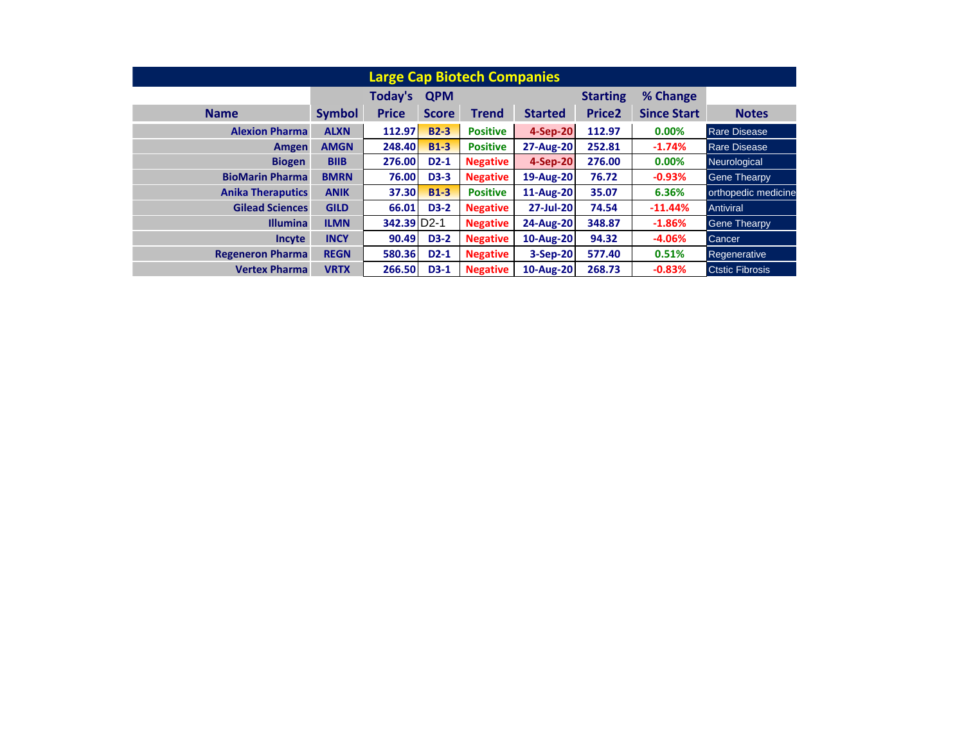| <b>Large Cap Biotech Companies</b> |               |                          |              |                 |                  |                 |                    |                        |  |
|------------------------------------|---------------|--------------------------|--------------|-----------------|------------------|-----------------|--------------------|------------------------|--|
|                                    |               | Today's                  | <b>QPM</b>   |                 |                  | <b>Starting</b> | % Change           |                        |  |
| <b>Name</b>                        | <b>Symbol</b> | <b>Price</b>             | <b>Score</b> | Trend           | <b>Started</b>   | <b>Price2</b>   | <b>Since Start</b> | <b>Notes</b>           |  |
| <b>Alexion Pharma</b>              | <b>ALXN</b>   | 112.97                   | $B2-3$       | <b>Positive</b> | 4-Sep-20         | 112.97          | $0.00\%$           | <b>Rare Disease</b>    |  |
| Amgen                              | <b>AMGN</b>   | 248.40                   | $B1-3$       | <b>Positive</b> | <b>27-Aug-20</b> | 252.81          | $-1.74%$           | <b>Rare Disease</b>    |  |
| <b>Biogen</b>                      | <b>BIIB</b>   | 276.00                   | $D2-1$       | <b>Negative</b> | 4-Sep-20         | 276.00          | $0.00\%$           | Neurological           |  |
| <b>BioMarin Pharma</b>             | <b>BMRN</b>   | 76.00                    | <b>D3-3</b>  | <b>Negative</b> | 19-Aug-20        | 76.72           | $-0.93%$           | <b>Gene Thearpy</b>    |  |
| <b>Anika Theraputics</b>           | <b>ANIK</b>   | 37.30                    | $B1-3$       | <b>Positive</b> | 11-Aug-20        | 35.07           | 6.36%              | orthopedic medicine    |  |
| <b>Gilead Sciences</b>             | <b>GILD</b>   | 66.01                    | <b>D3-2</b>  | <b>Negative</b> | 27-Jul-20        | 74.54           | $-11.44%$          | Antiviral              |  |
| <b>Illumina</b>                    | <b>ILMN</b>   | 342.39 D <sub>2</sub> -1 |              | <b>Negative</b> | 24-Aug-20        | 348.87          | $-1.86%$           | <b>Gene Thearpy</b>    |  |
| <b>Incyte</b>                      | <b>INCY</b>   | 90.49                    | <b>D3-2</b>  | <b>Negative</b> | 10-Aug-20        | 94.32           | $-4.06%$           | Cancer                 |  |
| <b>Regeneron Pharma</b>            | <b>REGN</b>   | 580.36                   | $D2-1$       | <b>Negative</b> | 3-Sep-20         | 577.40          | 0.51%              | Regenerative           |  |
| <b>Vertex Pharma</b>               | <b>VRTX</b>   | 266.50                   | $D3-1$       | <b>Negative</b> | 10-Aug-20        | 268.73          | $-0.83%$           | <b>Ctstic Fibrosis</b> |  |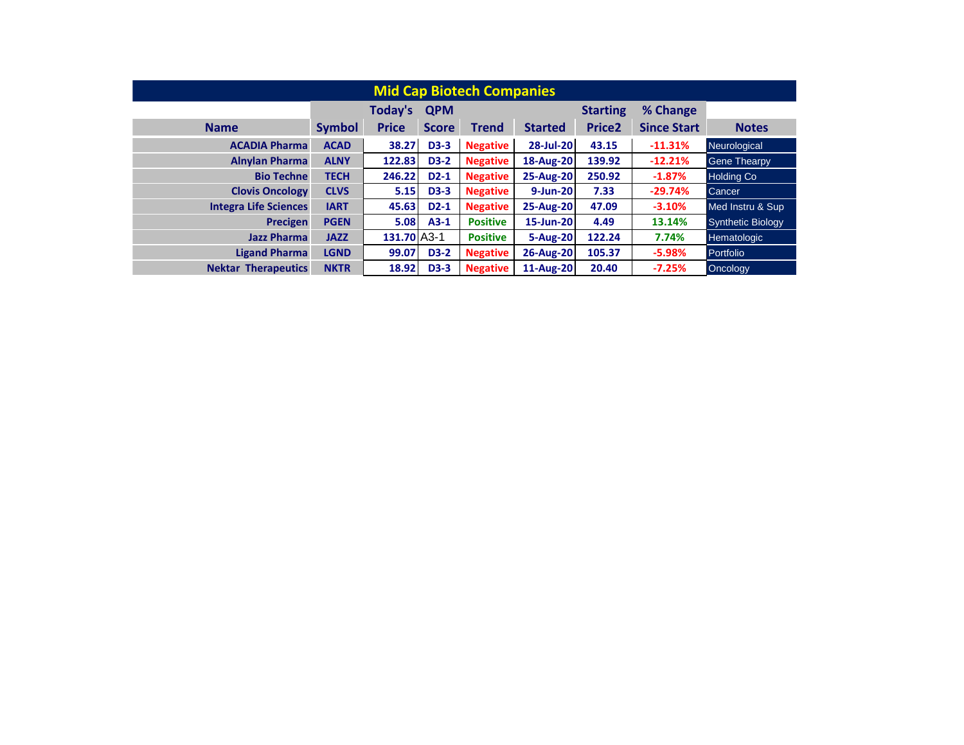| <b>Mid Cap Biotech Companies</b> |               |               |              |                 |                |                 |                    |                          |  |
|----------------------------------|---------------|---------------|--------------|-----------------|----------------|-----------------|--------------------|--------------------------|--|
|                                  |               | Today's       | <b>QPM</b>   |                 |                | <b>Starting</b> | % Change           |                          |  |
| <b>Name</b>                      | <b>Symbol</b> | <b>Price</b>  | <b>Score</b> | Trend           | <b>Started</b> | <b>Price2</b>   | <b>Since Start</b> | <b>Notes</b>             |  |
| <b>ACADIA Pharma</b>             | <b>ACAD</b>   | 38.27         | <b>D3-3</b>  | <b>Negative</b> | 28-Jul-20      | 43.15           | $-11.31%$          | Neurological             |  |
| <b>Alnylan Pharma</b>            | <b>ALNY</b>   | 122.83        | <b>D3-2</b>  | <b>Negative</b> | 18-Aug-20      | 139.92          | $-12.21%$          | <b>Gene Thearpy</b>      |  |
| <b>Bio Techne</b>                | <b>TECH</b>   | 246.22        | $D2-1$       | <b>Negative</b> | 25-Aug-20      | 250.92          | $-1.87%$           | <b>Holding Co</b>        |  |
| <b>Clovis Oncology</b>           | <b>CLVS</b>   | 5.15          | <b>D3-3</b>  | <b>Negative</b> | 9-Jun-20       | 7.33            | $-29.74%$          | Cancer                   |  |
| <b>Integra Life Sciences</b>     | <b>IART</b>   | 45.63         | $D2-1$       | <b>Negative</b> | 25-Aug-20      | 47.09           | $-3.10%$           | Med Instru & Sup         |  |
| Precigen                         | <b>PGEN</b>   | 5.08          | $A3-1$       | <b>Positive</b> | 15-Jun-20      | 4.49            | 13.14%             | <b>Synthetic Biology</b> |  |
| <b>Jazz Pharma</b>               | <b>JAZZ</b>   | $131.70$ A3-1 |              | <b>Positive</b> | 5-Aug-20       | 122.24          | 7.74%              | Hematologic              |  |
| <b>Ligand Pharma</b>             | <b>LGND</b>   | 99.07         | <b>D3-2</b>  | <b>Negative</b> | 26-Aug-20      | 105.37          | $-5.98%$           | Portfolio                |  |
| <b>Nektar Therapeutics</b>       | <b>NKTR</b>   | 18.92         | <b>D3-3</b>  | <b>Negative</b> | 11-Aug-20      | 20.40           | $-7.25%$           | Oncology                 |  |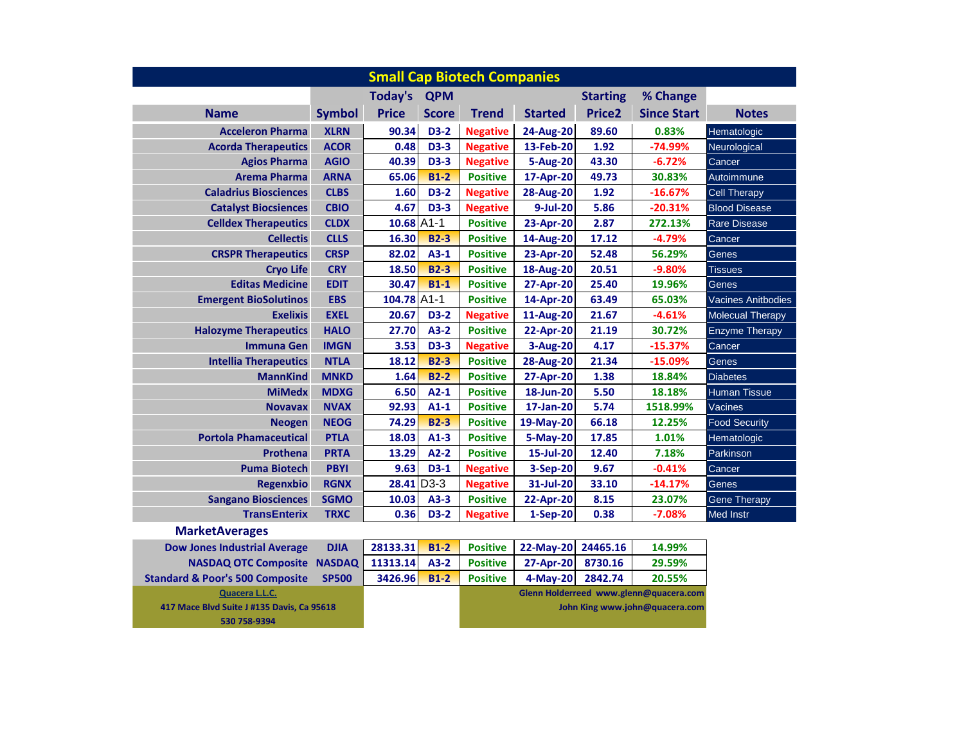| <b>Small Cap Biotech Companies</b>         |               |                |              |                 |                  |                    |                                        |                           |
|--------------------------------------------|---------------|----------------|--------------|-----------------|------------------|--------------------|----------------------------------------|---------------------------|
|                                            |               | <b>Today's</b> | <b>QPM</b>   |                 |                  | <b>Starting</b>    | % Change                               |                           |
| <b>Name</b>                                | Symbol        | <b>Price</b>   | <b>Score</b> | <b>Trend</b>    | <b>Started</b>   | Price <sub>2</sub> | <b>Since Start</b>                     | <b>Notes</b>              |
| <b>Acceleron Pharma</b>                    | <b>XLRN</b>   | 90.34          | <b>D3-2</b>  | <b>Negative</b> | 24-Aug-20        | 89.60              | 0.83%                                  | Hematologic               |
| <b>Acorda Therapeutics</b>                 | <b>ACOR</b>   | 0.48           | <b>D3-3</b>  | <b>Negative</b> | 13-Feb-20        | 1.92               | -74.99%                                | Neurological              |
| <b>Agios Pharma</b>                        | <b>AGIO</b>   | 40.39          | <b>D3-3</b>  | <b>Negative</b> | 5-Aug-20         | 43.30              | $-6.72%$                               | Cancer                    |
| <b>Arema Pharma</b>                        | <b>ARNA</b>   | 65.06          | $B1-2$       | <b>Positive</b> | 17-Apr-20        | 49.73              | 30.83%                                 | Autoimmune                |
| <b>Caladrius Biosciences</b>               | <b>CLBS</b>   | 1.60           | <b>D3-2</b>  | <b>Negative</b> | <b>28-Aug-20</b> | 1.92               | $-16.67%$                              | <b>Cell Therapy</b>       |
| <b>Catalyst Biocsiences</b>                | <b>CBIO</b>   | 4.67           | <b>D3-3</b>  | <b>Negative</b> | 9-Jul-20         | 5.86               | $-20.31%$                              | <b>Blood Disease</b>      |
| <b>Celldex Therapeutics</b>                | <b>CLDX</b>   | 10.68 A1-1     |              | <b>Positive</b> | 23-Apr-20        | 2.87               | 272.13%                                | <b>Rare Disease</b>       |
| <b>Cellectis</b>                           | <b>CLLS</b>   | 16.30          | <b>B2-3</b>  | <b>Positive</b> | 14-Aug-20        | 17.12              | $-4.79%$                               | Cancer                    |
| <b>CRSPR Therapeutics</b>                  | <b>CRSP</b>   | 82.02          | $A3-1$       | <b>Positive</b> | 23-Apr-20        | 52.48              | 56.29%                                 | Genes                     |
| <b>Cryo Life</b>                           | <b>CRY</b>    | 18.50          | <b>B2-3</b>  | <b>Positive</b> | <b>18-Aug-20</b> | 20.51              | $-9.80%$                               | <b>Tissues</b>            |
| <b>Editas Medicine</b>                     | <b>EDIT</b>   | 30.47          | $B1-1$       | <b>Positive</b> | 27-Apr-20        | 25.40              | 19.96%                                 | Genes                     |
| <b>Emergent BioSolutinos</b>               | <b>EBS</b>    | 104.78 A1-1    |              | <b>Positive</b> | 14-Apr-20        | 63.49              | 65.03%                                 | <b>Vacines Anitbodies</b> |
| <b>Exelixis</b>                            | <b>EXEL</b>   | 20.67          | <b>D3-2</b>  | <b>Negative</b> | 11-Aug-20        | 21.67              | $-4.61%$                               | <b>Molecual Therapy</b>   |
| <b>Halozyme Therapeutics</b>               | <b>HALO</b>   | 27.70          | $A3-2$       | <b>Positive</b> | 22-Apr-20        | 21.19              | 30.72%                                 | <b>Enzyme Therapy</b>     |
| <b>Immuna Gen</b>                          | <b>IMGN</b>   | 3.53           | <b>D3-3</b>  | <b>Negative</b> | 3-Aug-20         | 4.17               | $-15.37%$                              | Cancer                    |
| <b>Intellia Therapeutics</b>               | <b>NTLA</b>   | 18.12          | <b>B2-3</b>  | <b>Positive</b> | <b>28-Aug-20</b> | 21.34              | $-15.09%$                              | Genes                     |
| <b>MannKind</b>                            | <b>MNKD</b>   | 1.64           | $B2-2$       | <b>Positive</b> | 27-Apr-20        | 1.38               | 18.84%                                 | <b>Diabetes</b>           |
| <b>MiMedx</b>                              | <b>MDXG</b>   | 6.50           | $A2-1$       | <b>Positive</b> | 18-Jun-20        | 5.50               | 18.18%                                 | <b>Human Tissue</b>       |
| <b>Novavax</b>                             | <b>NVAX</b>   | 92.93          | $A1-1$       | <b>Positive</b> | 17-Jan-20        | 5.74               | 1518.99%                               | Vacines                   |
| <b>Neogen</b>                              | <b>NEOG</b>   | 74.29          | <b>B2-3</b>  | <b>Positive</b> | 19-May-20        | 66.18              | 12.25%                                 | <b>Food Security</b>      |
| <b>Portola Phamaceutical</b>               | <b>PTLA</b>   | 18.03          | $A1-3$       | <b>Positive</b> | 5-May-20         | 17.85              | 1.01%                                  | Hematologic               |
| Prothena                                   | <b>PRTA</b>   | 13.29          | $A2-2$       | <b>Positive</b> | 15-Jul-20        | 12.40              | 7.18%                                  | Parkinson                 |
| <b>Puma Biotech</b>                        | <b>PBYI</b>   | 9.63           | $D3-1$       | <b>Negative</b> | 3-Sep-20         | 9.67               | $-0.41%$                               | Cancer                    |
| Regenxbio                                  | <b>RGNX</b>   | 28.41 D3-3     |              | <b>Negative</b> | 31-Jul-20        | 33.10              | $-14.17%$                              | Genes                     |
| <b>Sangano Biosciences</b>                 | <b>SGMO</b>   | 10.03          | $A3-3$       | <b>Positive</b> | 22-Apr-20        | 8.15               | 23.07%                                 | <b>Gene Therapy</b>       |
| <b>TransEnterix</b>                        | <b>TRXC</b>   | 0.36           | <b>D3-2</b>  | <b>Negative</b> | 1-Sep-20         | 0.38               | $-7.08%$                               | <b>Med Instr</b>          |
| <b>MarketAverages</b>                      |               |                |              |                 |                  |                    |                                        |                           |
| <b>Dow Jones Industrial Average</b>        | <b>DJIA</b>   | 28133.31       | $B1-2$       | <b>Positive</b> | 22-May-20        | 24465.16           | 14.99%                                 |                           |
| <b>NASDAQ OTC Composite</b>                | <b>NASDAQ</b> | 11313.14       | $A3-2$       | <b>Positive</b> | 27-Apr-20        | 8730.16            | 29.59%                                 |                           |
| <b>Standard &amp; Poor's 500 Composite</b> | <b>SP500</b>  | 3426.96        | $B1-2$       | <b>Positive</b> | 4-May-20         | 2842.74            | 20.55%                                 |                           |
| Quacera L.L.C.                             |               |                |              |                 |                  |                    | Glenn Holderreed www.glenn@quacera.com |                           |
| 417 Mace Blvd Suite J #135 Davis, Ca 95618 |               |                |              |                 |                  |                    | John King www.john@quacera.com         |                           |

**530 758-9394**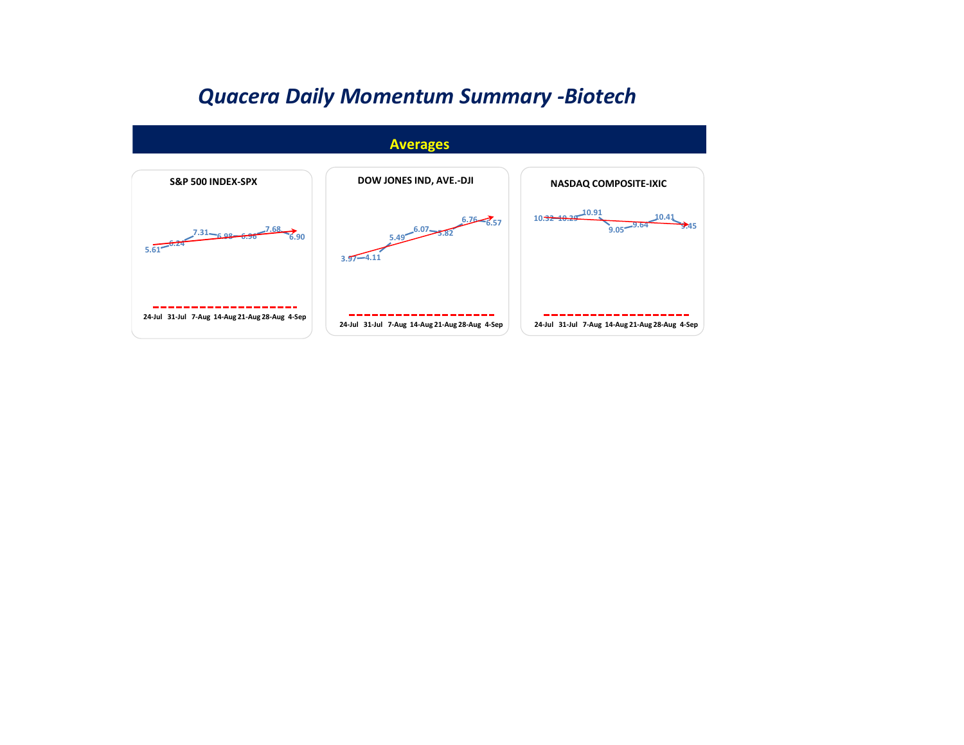## *Quacera Daily Momentum Summary -Biotech*

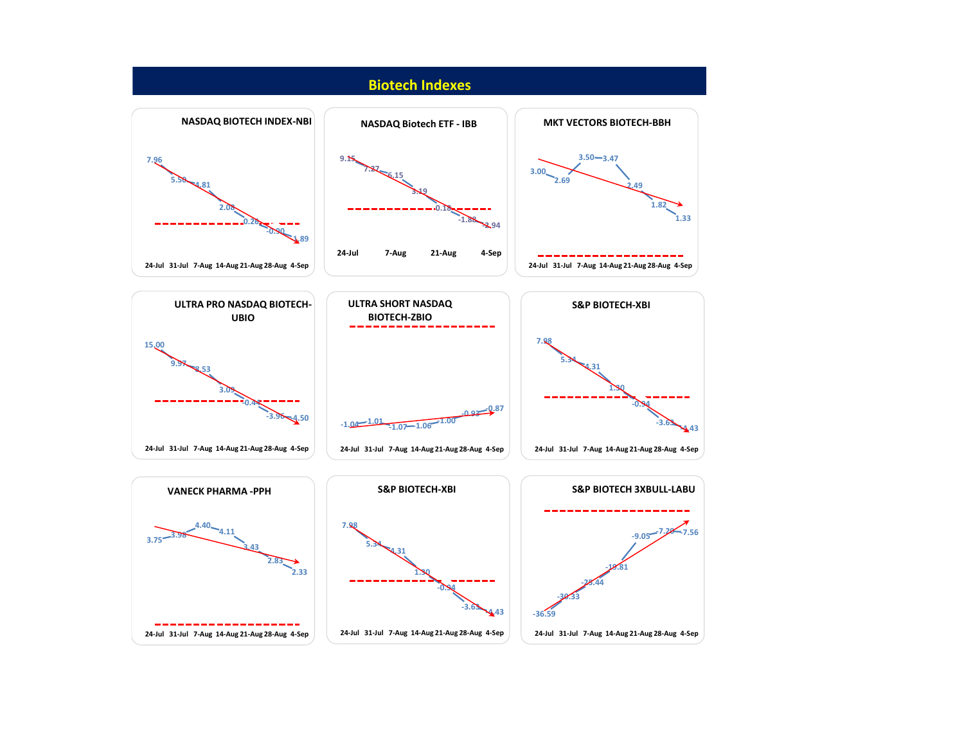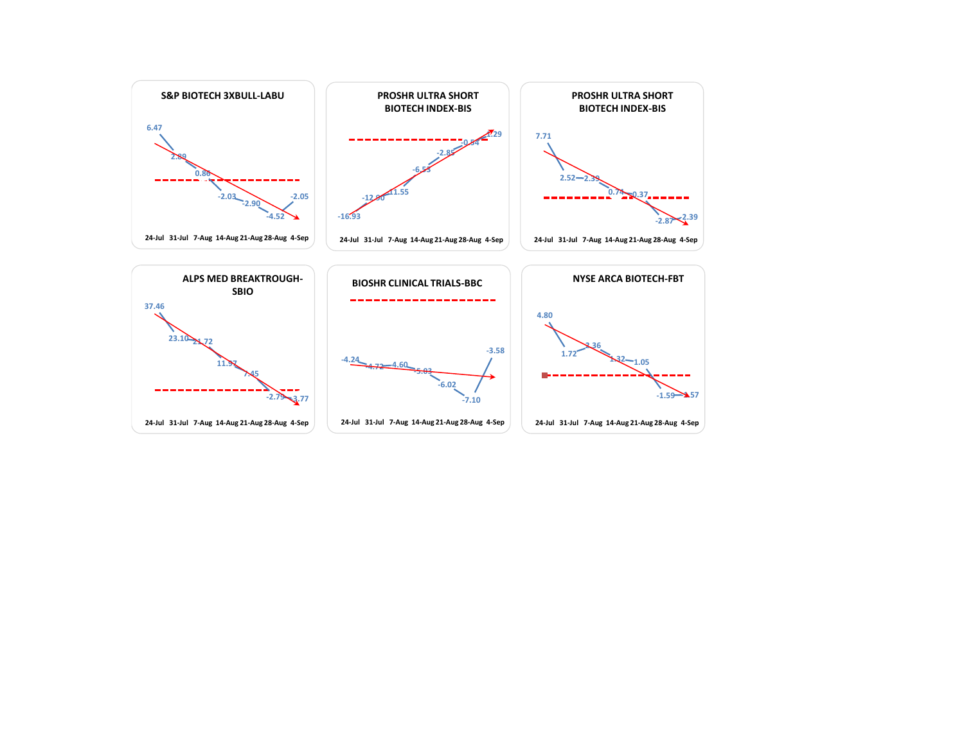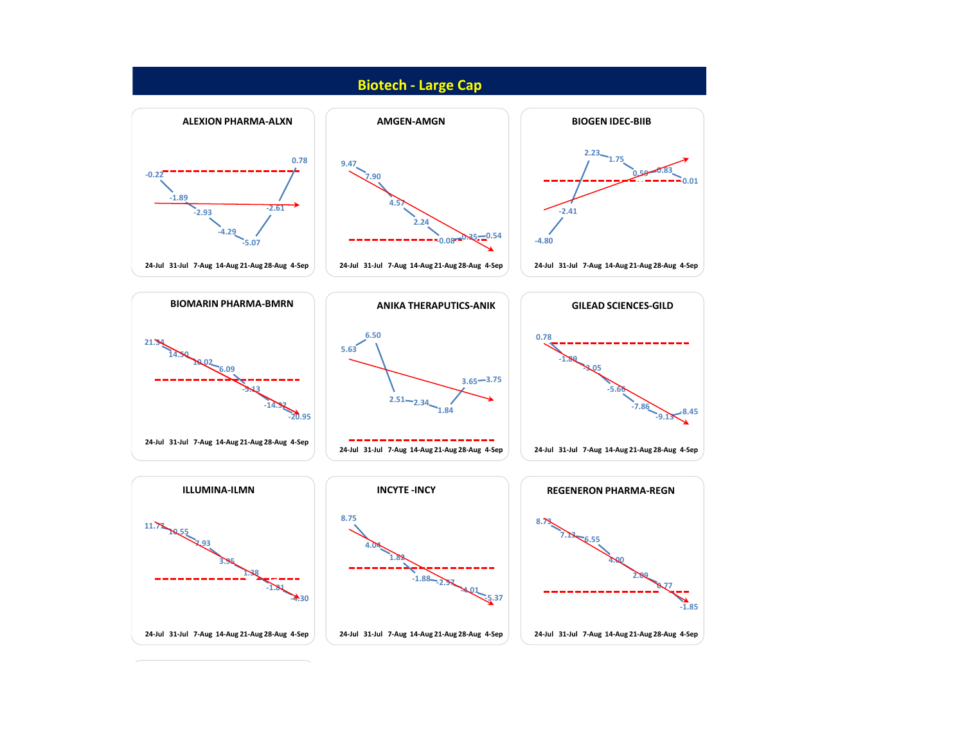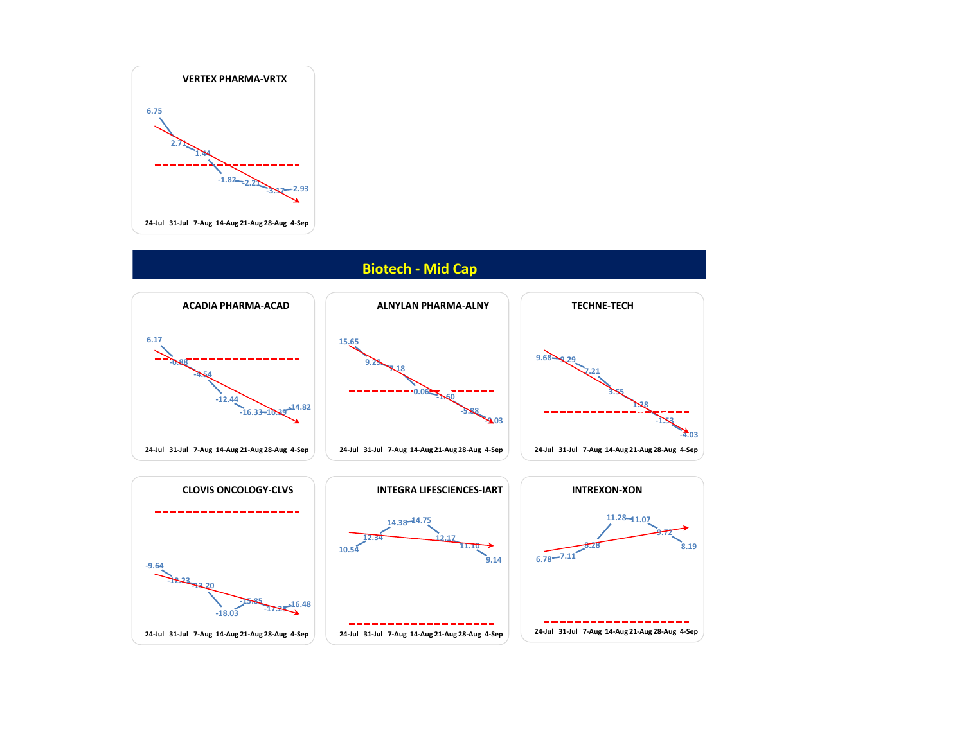

## **Biotech - Mid Cap**

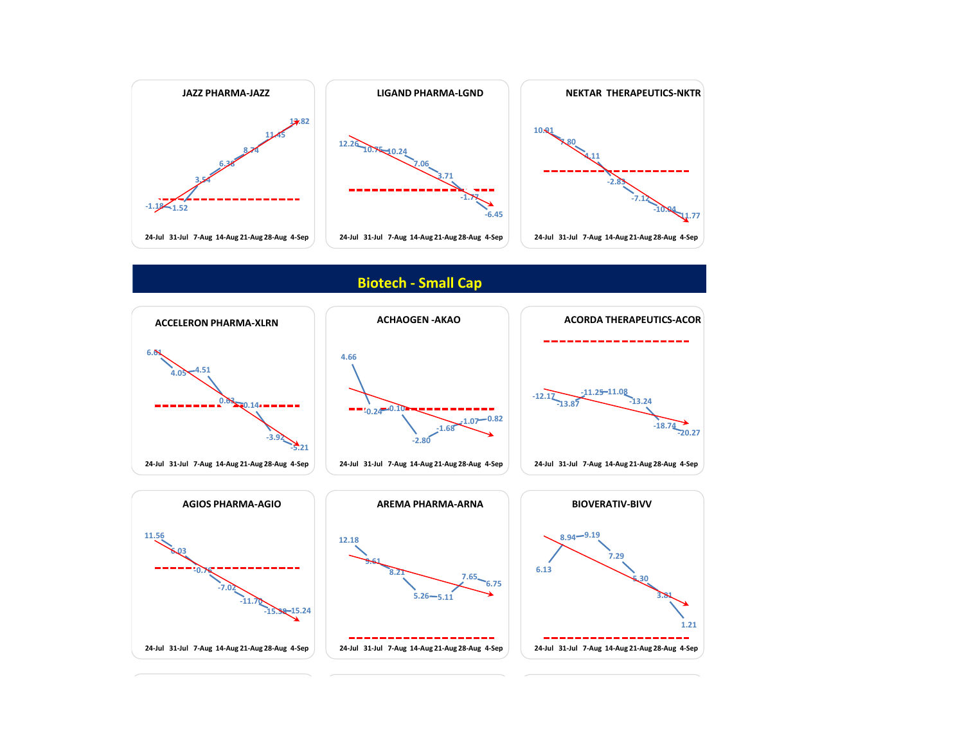

## **Biotech - Small Cap**

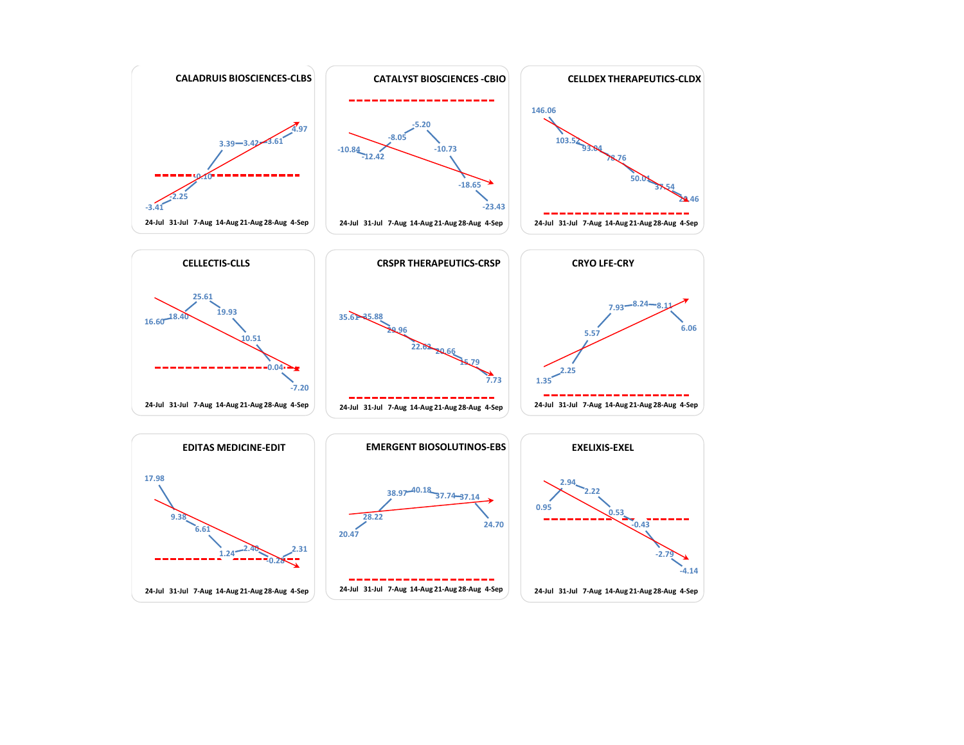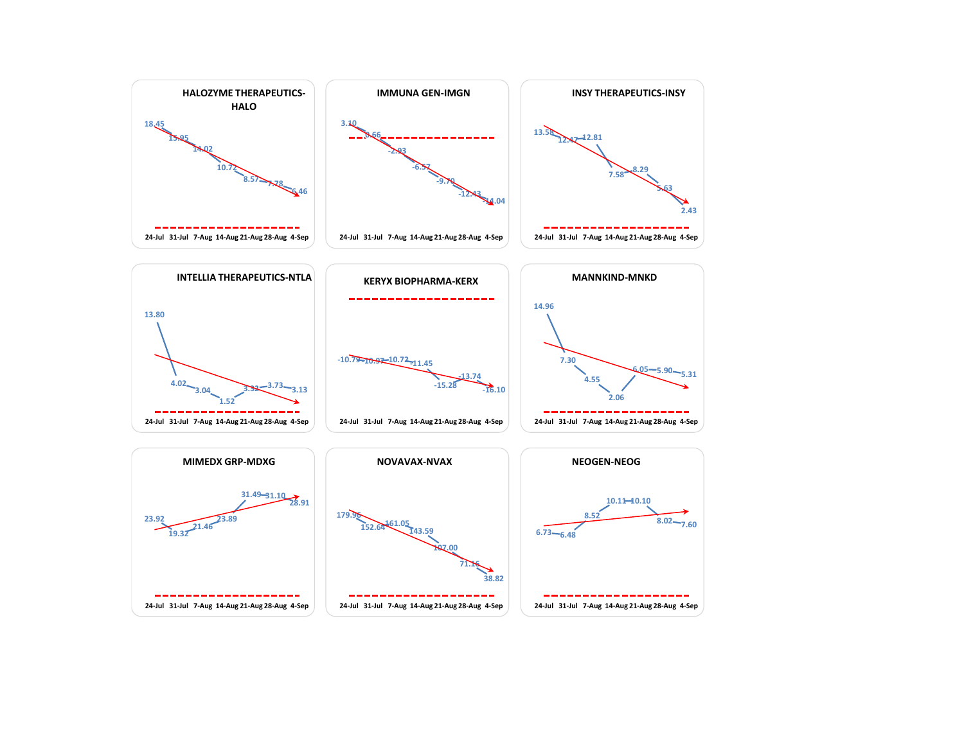